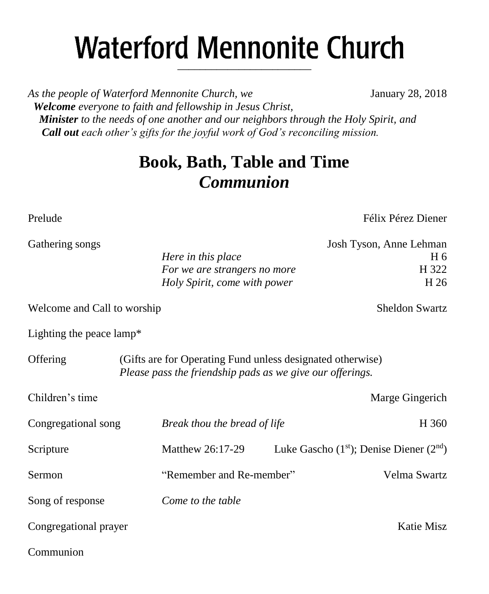# **Waterford Mennonite Church** \_\_\_\_\_\_\_\_\_\_\_\_\_\_\_\_\_\_\_\_\_\_\_\_

*As the people of Waterford Mennonite Church, we* January 28, 2018  *Welcome everyone to faith and fellowship in Jesus Christ, Minister to the needs of one another and our neighbors through the Holy Spirit, and Call out each other's gifts for the joyful work of God's reconciling mission.*

## **Book, Bath, Table and Time** *Communion*

Gathering s

Prelude Félix Pérez Diener

| ongs |                              | Josh Tyson, Anne Lehman |
|------|------------------------------|-------------------------|
|      | Here in this place           | H 6                     |
|      | For we are strangers no more | H 322                   |
|      | Holy Spirit, come with power | H 26                    |
|      |                              |                         |

Welcome and Call to worship Sheldon Swartz

Lighting the peace lamp\*

| Offering              | (Gifts are for Operating Fund unless designated otherwise)<br>Please pass the friendship pads as we give our offerings. |                                             |  |  |
|-----------------------|-------------------------------------------------------------------------------------------------------------------------|---------------------------------------------|--|--|
| Children's time       |                                                                                                                         | Marge Gingerich                             |  |  |
| Congregational song   | Break thou the bread of life                                                                                            | H 360                                       |  |  |
| Scripture             | Matthew 26:17-29                                                                                                        | Luke Gascho $(1st)$ ; Denise Diener $(2nd)$ |  |  |
| Sermon                | "Remember and Re-member"                                                                                                | Velma Swartz                                |  |  |
| Song of response      | Come to the table                                                                                                       |                                             |  |  |
| Congregational prayer |                                                                                                                         | Katie Misz                                  |  |  |
|                       |                                                                                                                         |                                             |  |  |

Communion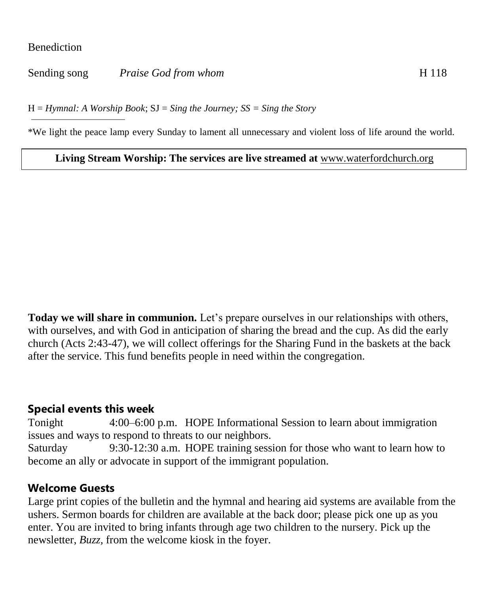#### **Benediction**

Sending song *Praise God from whom* H 118

H = *Hymnal: A Worship Book*; SJ = *Sing the Journey; SS = Sing the Story*

\*We light the peace lamp every Sunday to lament all unnecessary and violent loss of life around the world.

**Living Stream Worship: The services are live streamed at** [www.waterfordchurch.org](http://www.waterfordchurch.org/)

**Today we will share in communion.** Let's prepare ourselves in our relationships with others, with ourselves, and with God in anticipation of sharing the bread and the cup. As did the early church (Acts 2:43-47), we will collect offerings for the Sharing Fund in the baskets at the back after the service. This fund benefits people in need within the congregation.

#### **Special events this week**

Tonight 4:00–6:00 p.m. HOPE Informational Session to learn about immigration issues and ways to respond to threats to our neighbors. Saturday 9:30-12:30 a.m. HOPE training session for those who want to learn how to become an ally or advocate in support of the immigrant population.

#### **Welcome Guests**

Large print copies of the bulletin and the hymnal and hearing aid systems are available from the ushers. Sermon boards for children are available at the back door; please pick one up as you enter. You are invited to bring infants through age two children to the nursery. Pick up the newsletter, *Buzz,* from the welcome kiosk in the foyer.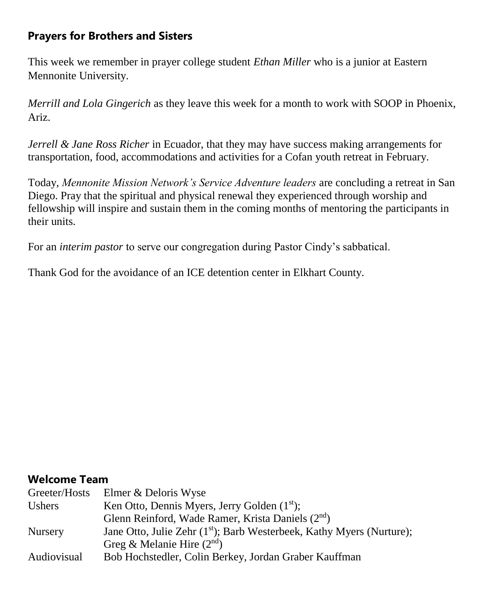## **Prayers for Brothers and Sisters**

This week we remember in prayer college student *Ethan Miller* who is a junior at Eastern Mennonite University.

*Merrill and Lola Gingerich* as they leave this week for a month to work with SOOP in Phoenix, Ariz.

*Jerrell & Jane Ross Richer* in Ecuador, that they may have success making arrangements for transportation, food, accommodations and activities for a Cofan youth retreat in February.

Today, *Mennonite Mission Network's Service Adventure leaders* are concluding a retreat in San Diego. Pray that the spiritual and physical renewal they experienced through worship and fellowship will inspire and sustain them in the coming months of mentoring the participants in their units.

For an *interim pastor* to serve our congregation during Pastor Cindy's sabbatical.

Thank God for the avoidance of an ICE detention center in Elkhart County.

#### **Welcome Team**

| Greeter/Hosts  | Elmer & Deloris Wyse                                                              |
|----------------|-----------------------------------------------------------------------------------|
| Ushers         | Ken Otto, Dennis Myers, Jerry Golden $(1st)$ ;                                    |
|                | Glenn Reinford, Wade Ramer, Krista Daniels (2 <sup>nd</sup> )                     |
| <b>Nursery</b> | Jane Otto, Julie Zehr (1 <sup>st</sup> ); Barb Westerbeek, Kathy Myers (Nurture); |
|                | Greg & Melanie Hire $(2nd)$                                                       |
| Audiovisual    | Bob Hochstedler, Colin Berkey, Jordan Graber Kauffman                             |